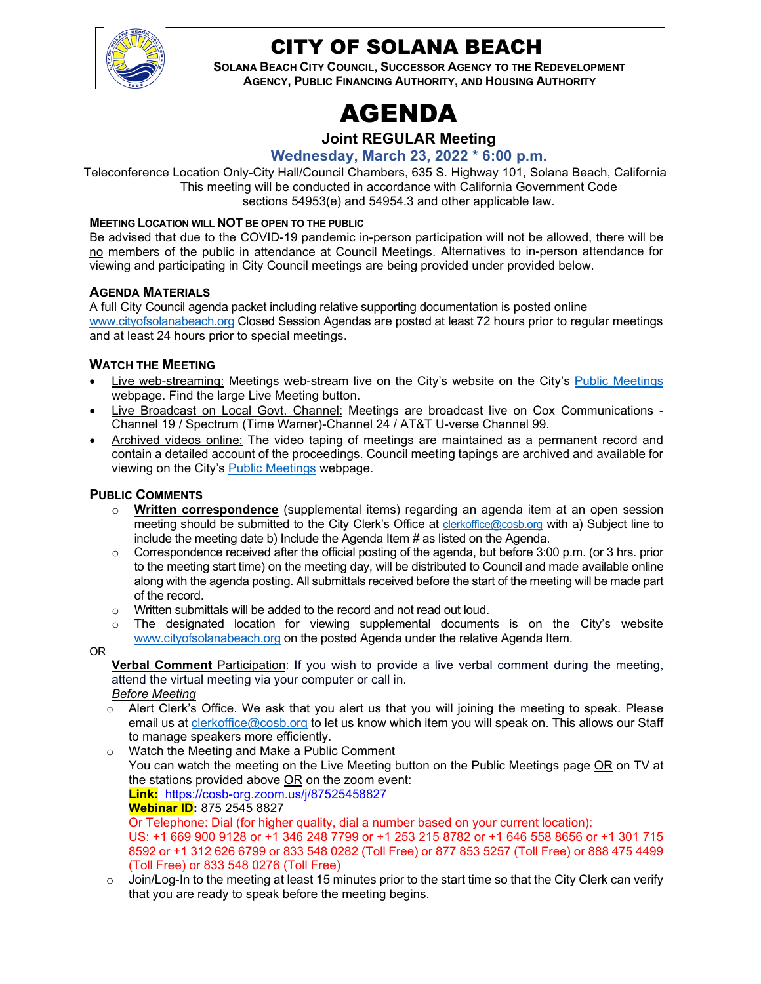

## CITY OF SOLANA BEACH

**SOLANA BEACH CITY COUNCIL, SUCCESSOR AGENCY TO THE REDEVELOPMENT AGENCY, PUBLIC FINANCING AUTHORITY, AND HOUSING AUTHORITY** 

# AGENDA

## **Joint REGULAR Meeting**

**Wednesday, March 23, 2022 \* 6:00 p.m.** 

Teleconference Location Only-City Hall/Council Chambers, 635 S. Highway 101, Solana Beach, California This meeting will be conducted in accordance with California Government Code sections 54953(e) and 54954.3 and other applicable law.

#### **MEETING LOCATION WILL NOT BE OPEN TO THE PUBLIC**

Be advised that due to the COVID-19 pandemic in-person participation will not be allowed, there will be no members of the public in attendance at Council Meetings. Alternatives to in-person attendance for viewing and participating in City Council meetings are being provided under provided below.

#### **AGENDA MATERIALS**

A full City Council agenda packet including relative supporting documentation is posted online [www.cityofsolanabeach.org](http://www.cityofsolanabeach.org/) Closed Session Agendas are posted at least 72 hours prior to regular meetings and at least 24 hours prior to special meetings.

#### **WATCH THE MEETING**

- Live web-streaming: Meetings web-stream live on the City's website on the City's [Public Meetings](https://urldefense.proofpoint.com/v2/url?u=https-3A__www.ci.solana-2Dbeach.ca.us_index.asp-3FSEC-3DF0F1200D-2D21C6-2D4A88-2D8AE1-2D0BC07C1A81A7-26Type-3DB-5FBASIC&d=DwMFAg&c=euGZstcaTDllvimEN8b7jXrwqOf-v5A_CdpgnVfiiMM&r=1XAsCUuqwK_tji2t0s1uIQ&m=wny2RVfZJ2tN24LkqZmkUWNpwL_peNtTZUBlTBZiMM4&s=WwpcEQpHHkFen6nS6q2waMuQ_VMZ-i1YZ60lD-dYRRE&e=) webpage. Find the large Live Meeting button.
- Live Broadcast on Local Govt. Channel: Meetings are broadcast live on Cox Communications Channel 19 / Spectrum (Time Warner)-Channel 24 / AT&T U-verse Channel 99.
- Archived videos online: The video taping of meetings are maintained as a permanent record and contain a detailed account of the proceedings. Council meeting tapings are archived and available for viewing on the City's **Public Meetings** webpage.

#### **PUBLIC COMMENTS**

- o **Written correspondence** (supplemental items) regarding an agenda item at an open session meeting should be submitted to the City Clerk's Office at [clerkoffice@cosb.org](mailto:clerkoffice@cosb.org) with a) Subject line to include the meeting date b) Include the Agenda Item # as listed on the Agenda.
- $\circ$  Correspondence received after the official posting of the agenda, but before 3:00 p.m. (or 3 hrs. prior to the meeting start time) on the meeting day, will be distributed to Council and made available online along with the agenda posting. All submittals received before the start of the meeting will be made part of the record.
- o Written submittals will be added to the record and not read out loud.
- $\circ$  The designated location for viewing supplemental documents is on the City's website [www.cityofsolanabeach.org](http://www.cityofsolanabeach.org/) on the posted Agenda under the relative Agenda Item.

#### OR

**Verbal Comment** Participation: If you wish to provide a live verbal comment during the meeting, attend the virtual meeting via your computer or call in.

- *Before Meeting*
- $\circ$  Alert Clerk's Office. We ask that you alert us that you will joining the meeting to speak. Please email us at [clerkoffice@cosb.org](mailto:clerkoffice@cosb.org) to let us know which item you will speak on. This allows our Staff to manage speakers more efficiently.
- o Watch the Meeting and Make a Public Comment You can watch the meeting on the Live Meeting button on the Public Meetings page OR on TV at the stations provided above OR on the zoom event: **Link:** [https://cosb-org.zoom.us/j/87525458827](https://cosb-org.zoom.us/j/89698573408) **Webinar ID:** 875 2545 8827 Or Telephone: Dial (for higher quality, dial a number based on your current location): US: +1 669 900 9128 or +1 346 248 7799 or +1 253 215 8782 or +1 646 558 8656 or +1 301 715

8592 or +1 312 626 6799 or 833 548 0282 (Toll Free) or 877 853 5257 (Toll Free) or 888 475 4499 (Toll Free) or 833 548 0276 (Toll Free)

 $\circ$  Join/Log-In to the meeting at least 15 minutes prior to the start time so that the City Clerk can verify that you are ready to speak before the meeting begins.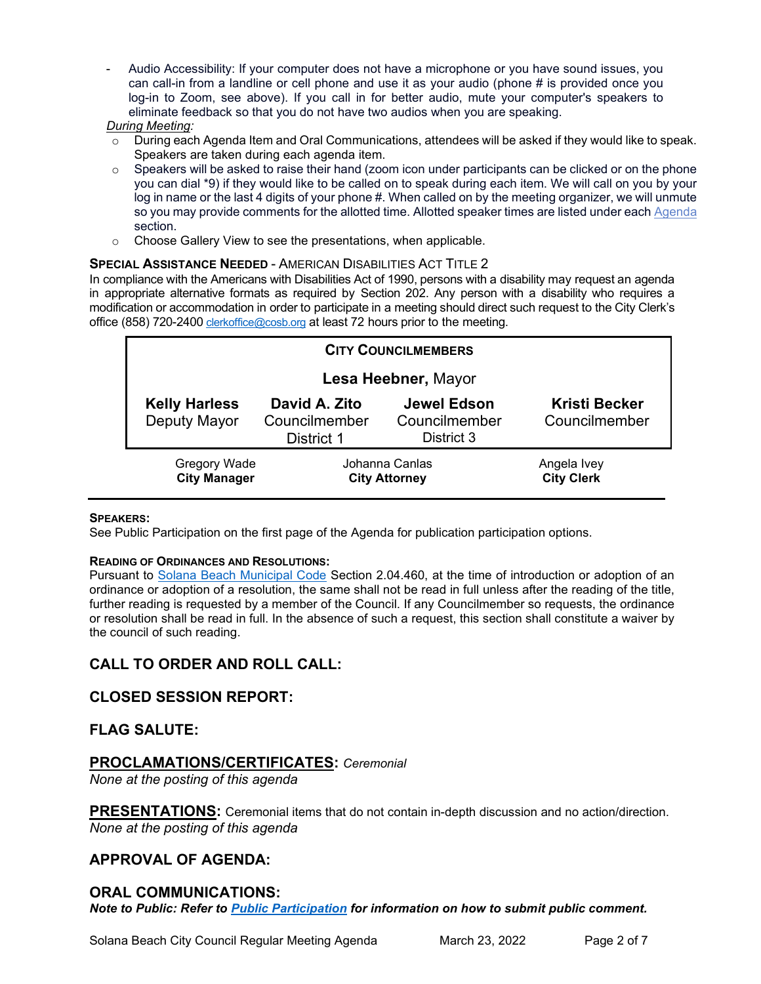- Audio Accessibility: If your computer does not have a microphone or you have sound issues, you can call-in from a landline or cell phone and use it as your audio (phone # is provided once you log-in to Zoom, see above). If you call in for better audio, mute your computer's speakers to eliminate feedback so that you do not have two audios when you are speaking.

#### *During Meeting:*

- $\circ$  During each Agenda Item and Oral Communications, attendees will be asked if they would like to speak. Speakers are taken during each agenda item.
- $\circ$  Speakers will be asked to raise their hand (zoom icon under participants can be clicked or on the phone you can dial \*9) if they would like to be called on to speak during each item. We will call on you by your log in name or the last 4 digits of your phone #. When called on by the meeting organizer, we will unmute so you may provide comments for the allotted time. Allotted speaker times are listed under eac[h Agenda](https://urldefense.proofpoint.com/v2/url?u=https-3A__www.ci.solana-2Dbeach.ca.us_index.asp-3FSEC-3DF0F1200D-2D21C6-2D4A88-2D8AE1-2D0BC07C1A81A7-26Type-3DB-5FBASIC&d=DwMFaQ&c=euGZstcaTDllvimEN8b7jXrwqOf-v5A_CdpgnVfiiMM&r=1XAsCUuqwK_tji2t0s1uIQ&m=C7WzXfOw2_nkEFMJClT55zZsF4tmIf_7KTn0o1WpYqI&s=3DcsWExM2_nx_xpvFtXslUjphiXd0MDCCF18y_Qy5yU&e=) section.
- o Choose Gallery View to see the presentations, when applicable.

#### **SPECIAL ASSISTANCE NEEDED - AMERICAN DISABILITIES ACT TITLE 2**

In compliance with the Americans with Disabilities Act of 1990, persons with a disability may request an agenda in appropriate alternative formats as required by Section 202. Any person with a disability who requires a modification or accommodation in order to participate in a meeting should direct such request to the City Clerk's office (858) 720-2400 [clerkoffice@cosb.org](mailto:EMAILGRP-CityClerksOfc@cosb.org) at least 72 hours prior to the meeting.

| <b>CITY COUNCILMEMBERS</b>           |                                              |                                                   |                                       |
|--------------------------------------|----------------------------------------------|---------------------------------------------------|---------------------------------------|
| Lesa Heebner, Mayor                  |                                              |                                                   |                                       |
| <b>Kelly Harless</b><br>Deputy Mayor | David A. Zito<br>Councilmember<br>District 1 | <b>Jewel Edson</b><br>Councilmember<br>District 3 | <b>Kristi Becker</b><br>Councilmember |
| Gregory Wade<br><b>City Manager</b>  | Johanna Canlas<br><b>City Attorney</b>       |                                                   | Angela Ivey<br><b>City Clerk</b>      |

#### **SPEAKERS:**

See Public Participation on the first page of the Agenda for publication participation options.

#### **READING OF ORDINANCES AND RESOLUTIONS:**

Pursuant to [Solana Beach Municipal Code](https://www.codepublishing.com/CA/SolanaBeach/) Section 2.04.460, at the time of introduction or adoption of an ordinance or adoption of a resolution, the same shall not be read in full unless after the reading of the title, further reading is requested by a member of the Council. If any Councilmember so requests, the ordinance or resolution shall be read in full. In the absence of such a request, this section shall constitute a waiver by the council of such reading.

## **CALL TO ORDER AND ROLL CALL:**

## **CLOSED SESSION REPORT:**

## **FLAG SALUTE:**

#### **PROCLAMATIONS/CERTIFICATES:** *Ceremonial*

*None at the posting of this agenda*

**PRESENTATIONS:** Ceremonial items that do not contain in-depth discussion and no action/direction. *None at the posting of this agenda*

#### **APPROVAL OF AGENDA:**

#### **ORAL COMMUNICATIONS:**

*Note to Public: Refer to Public Participation for information on how to submit public comment.*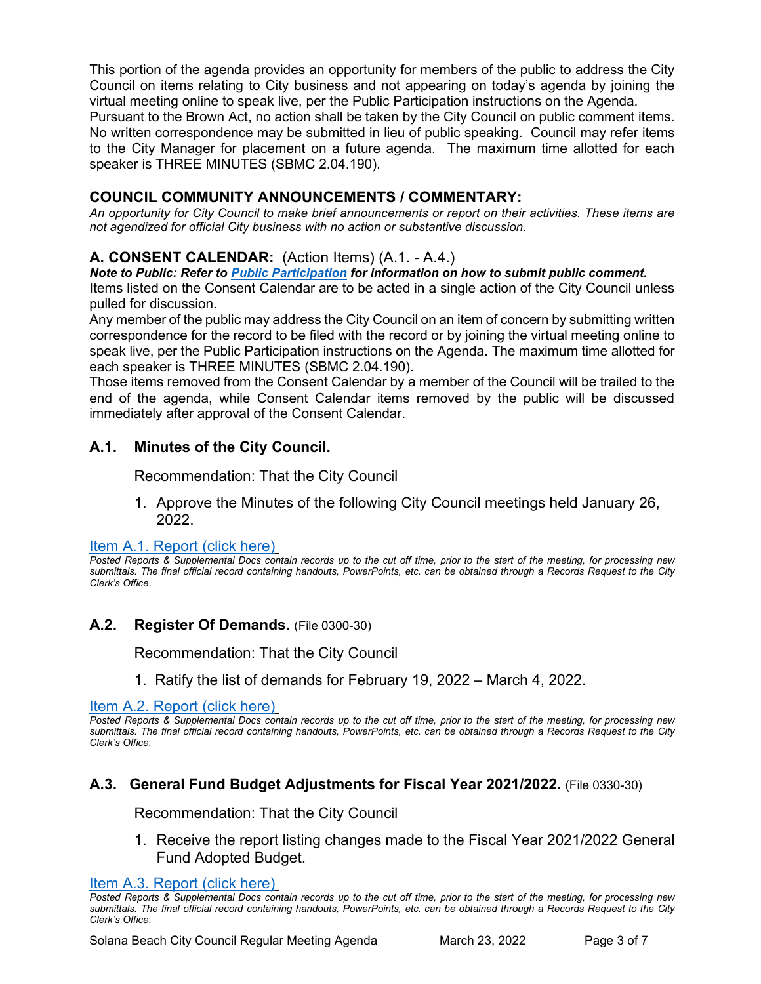This portion of the agenda provides an opportunity for members of the public to address the City Council on items relating to City business and not appearing on today's agenda by joining the virtual meeting online to speak live, per the Public Participation instructions on the Agenda.

Pursuant to the Brown Act, no action shall be taken by the City Council on public comment items. No written correspondence may be submitted in lieu of public speaking. Council may refer items to the City Manager for placement on a future agenda. The maximum time allotted for each speaker is THREE MINUTES (SBMC 2.04.190).

## **COUNCIL COMMUNITY ANNOUNCEMENTS / COMMENTARY:**

*An opportunity for City Council to make brief announcements or report on their activities. These items are not agendized for official City business with no action or substantive discussion.* 

## **A. CONSENT CALENDAR:** (Action Items) (A.1. - A.4.)

*Note to Public: Refer to Public Participation for information on how to submit public comment.* 

Items listed on the Consent Calendar are to be acted in a single action of the City Council unless pulled for discussion.

Any member of the public may address the City Council on an item of concern by submitting written correspondence for the record to be filed with the record or by joining the virtual meeting online to speak live, per the Public Participation instructions on the Agenda. The maximum time allotted for each speaker is THREE MINUTES (SBMC 2.04.190).

Those items removed from the Consent Calendar by a member of the Council will be trailed to the end of the agenda, while Consent Calendar items removed by the public will be discussed immediately after approval of the Consent Calendar.

## **A.1. Minutes of the City Council.**

Recommendation: That the City Council

1. Approve the Minutes of the following City Council meetings held January 26, 2022.

#### [Item A.1. Report \(click here\)](https://solanabeach.govoffice3.com/vertical/Sites/%7B840804C2-F869-4904-9AE3-720581350CE7%7D/uploads/A.1._Report_(click_here)_3-23-22_-_O.pdf)

*Posted Reports & Supplemental Docs contain records up to the cut off time, prior to the start of the meeting, for processing new submittals. The final official record containing handouts, PowerPoints, etc. can be obtained through a Records Request to the City Clerk's Office.*

## **A.2. Register Of Demands.** (File 0300-30)

Recommendation: That the City Council

1. Ratify the list of demands for February 19, 2022 – March 4, 2022.

[Item A.2. Report \(click here\)](https://solanabeach.govoffice3.com/vertical/Sites/%7B840804C2-F869-4904-9AE3-720581350CE7%7D/uploads/A.2._Report_(click_here)_3-23-22_-_O.pdf) 

*Posted Reports & Supplemental Docs contain records up to the cut off time, prior to the start of the meeting, for processing new submittals. The final official record containing handouts, PowerPoints, etc. can be obtained through a Records Request to the City Clerk's Office.*

## **A.3. General Fund Budget Adjustments for Fiscal Year 2021/2022.** (File 0330-30)

Recommendation: That the City Council

1. Receive the report listing changes made to the Fiscal Year 2021/2022 General Fund Adopted Budget.

[Item A.3. Report \(click here\)](https://solanabeach.govoffice3.com/vertical/Sites/%7B840804C2-F869-4904-9AE3-720581350CE7%7D/uploads/A.3._Report_(click_here)_3-23-22_-_O.pdf) 

*Posted Reports & Supplemental Docs contain records up to the cut off time, prior to the start of the meeting, for processing new submittals. The final official record containing handouts, PowerPoints, etc. can be obtained through a Records Request to the City Clerk's Office.*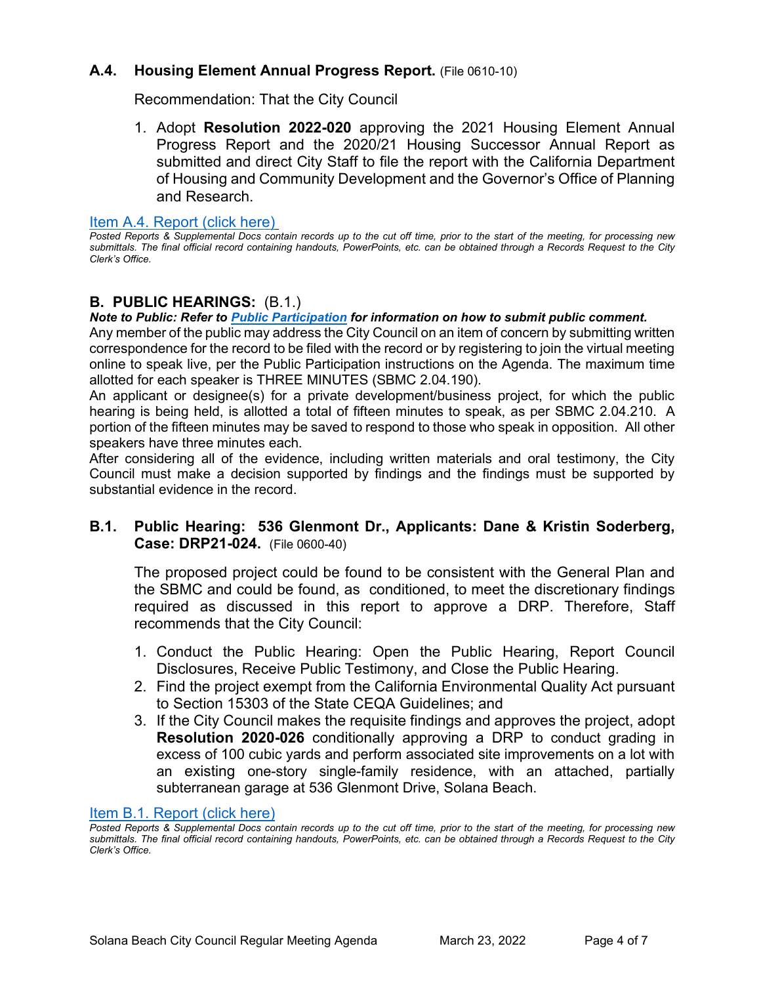#### **A.4. Housing Element Annual Progress Report.** (File 0610-10)

Recommendation: That the City Council

1. Adopt **Resolution 2022-020** approving the 2021 Housing Element Annual Progress Report and the 2020/21 Housing Successor Annual Report as submitted and direct City Staff to file the report with the California Department of Housing and Community Development and the Governor's Office of Planning and Research.

[Item A.4. Report \(click here\)](https://solanabeach.govoffice3.com/vertical/Sites/%7B840804C2-F869-4904-9AE3-720581350CE7%7D/uploads/A.4._Report_(click_here)_3-23-22_-_O.pdf) 

*Posted Reports & Supplemental Docs contain records up to the cut off time, prior to the start of the meeting, for processing new submittals. The final official record containing handouts, PowerPoints, etc. can be obtained through a Records Request to the City Clerk's Office.*

#### **B. PUBLIC HEARINGS:** (B.1.)

*Note to Public: Refer to Public Participation for information on how to submit public comment.* 

Any member of the public may address the City Council on an item of concern by submitting written correspondence for the record to be filed with the record or by registering to join the virtual meeting online to speak live, per the Public Participation instructions on the Agenda. The maximum time allotted for each speaker is THREE MINUTES (SBMC 2.04.190).

An applicant or designee(s) for a private development/business project, for which the public hearing is being held, is allotted a total of fifteen minutes to speak, as per SBMC 2.04.210. A portion of the fifteen minutes may be saved to respond to those who speak in opposition. All other speakers have three minutes each.

After considering all of the evidence, including written materials and oral testimony, the City Council must make a decision supported by findings and the findings must be supported by substantial evidence in the record.

## **B.1. Public Hearing: 536 Glenmont Dr., Applicants: Dane & Kristin Soderberg, Case: DRP21-024.** (File 0600-40)

The proposed project could be found to be consistent with the General Plan and the SBMC and could be found, as conditioned, to meet the discretionary findings required as discussed in this report to approve a DRP. Therefore, Staff recommends that the City Council:

- 1. Conduct the Public Hearing: Open the Public Hearing, Report Council Disclosures, Receive Public Testimony, and Close the Public Hearing.
- 2. Find the project exempt from the California Environmental Quality Act pursuant to Section 15303 of the State CEQA Guidelines; and
- 3. If the City Council makes the requisite findings and approves the project, adopt **Resolution 2020-026** conditionally approving a DRP to conduct grading in excess of 100 cubic yards and perform associated site improvements on a lot with an existing one-story single-family residence, with an attached, partially subterranean garage at 536 Glenmont Drive, Solana Beach.

#### [Item B.1. Report \(click here\)](https://solanabeach.govoffice3.com/vertical/Sites/%7B840804C2-F869-4904-9AE3-720581350CE7%7D/uploads/B.1._Report_(click_here)_3-23-22_-_O.pdf)

*Posted Reports & Supplemental Docs contain records up to the cut off time, prior to the start of the meeting, for processing new submittals. The final official record containing handouts, PowerPoints, etc. can be obtained through a Records Request to the City Clerk's Office.*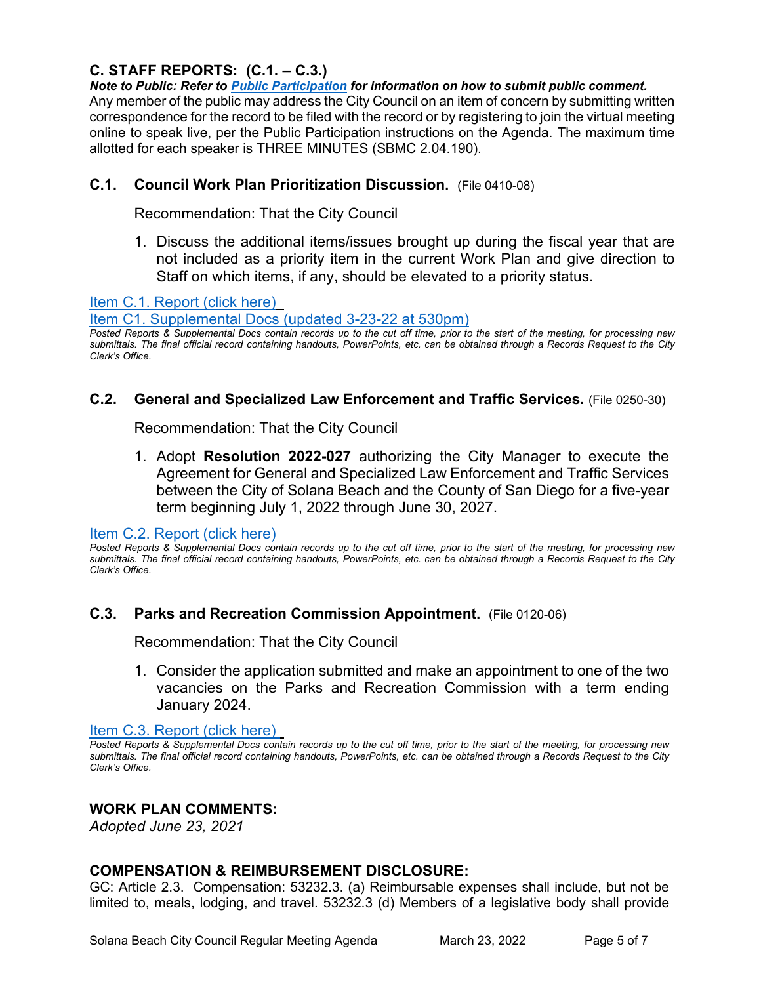## **C. STAFF REPORTS: (C.1. – C.3.)**

*Note to Public: Refer to Public Participation for information on how to submit public comment.* 

Any member of the public may address the City Council on an item of concern by submitting written correspondence for the record to be filed with the record or by registering to join the virtual meeting online to speak live, per the Public Participation instructions on the Agenda. The maximum time allotted for each speaker is THREE MINUTES (SBMC 2.04.190).

## **C.1. Council Work Plan Prioritization Discussion.** (File 0410-08)

Recommendation: That the City Council

1. Discuss the additional items/issues brought up during the fiscal year that are not included as a priority item in the current Work Plan and give direction to Staff on which items, if any, should be elevated to a priority status.

## [Item C.1. Report \(click here\)](https://solanabeach.govoffice3.com/vertical/Sites/%7B840804C2-F869-4904-9AE3-720581350CE7%7D/uploads/C.1._Report_(click_here)_3-23-22_-_O.pdf)

[Item C1. Supplemental Docs \(updated 3-23-22 at 530pm\)](https://solanabeach.govoffice3.com/vertical/Sites/%7B840804C2-F869-4904-9AE3-720581350CE7%7D/uploads/C.1._SuppDoc_(upd._3-23_530pm)_-_O.pdf) 

*Posted Reports & Supplemental Docs contain records up to the cut off time, prior to the start of the meeting, for processing new submittals. The final official record containing handouts, PowerPoints, etc. can be obtained through a Records Request to the City Clerk's Office.*

## **C.2. General and Specialized Law Enforcement and Traffic Services.** (File 0250-30)

Recommendation: That the City Council

1. Adopt **Resolution 2022-027** authorizing the City Manager to execute the Agreement for General and Specialized Law Enforcement and Traffic Services between the City of Solana Beach and the County of San Diego for a five-year term beginning July 1, 2022 through June 30, 2027.

#### [Item C.2. Report](https://solanabeach.govoffice3.com/vertical/Sites/%7B840804C2-F869-4904-9AE3-720581350CE7%7D/uploads/C.2._Report_(click_here)_3-23-22_-_O(1).pdf) (click here)

*Posted Reports & Supplemental Docs contain records up to the cut off time, prior to the start of the meeting, for processing new submittals. The final official record containing handouts, PowerPoints, etc. can be obtained through a Records Request to the City Clerk's Office.*

## **C.3. Parks and Recreation Commission Appointment.** (File 0120-06)

Recommendation: That the City Council

1. Consider the application submitted and make an appointment to one of the two vacancies on the Parks and Recreation Commission with a term ending January 2024.

Item C.3. [Report \(click here\)](https://solanabeach.govoffice3.com/vertical/Sites/%7B840804C2-F869-4904-9AE3-720581350CE7%7D/uploads/C.3._Report_(click_here)_3-23-22_-_O.pdf) 

*Posted Reports & Supplemental Docs contain records up to the cut off time, prior to the start of the meeting, for processing new submittals. The final official record containing handouts, PowerPoints, etc. can be obtained through a Records Request to the City Clerk's Office.*

## **WORK PLAN COMMENTS:**

*Adopted June 23, 2021*

## **COMPENSATION & REIMBURSEMENT DISCLOSURE:**

GC: Article 2.3. Compensation: 53232.3. (a) Reimbursable expenses shall include, but not be limited to, meals, lodging, and travel. 53232.3 (d) Members of a legislative body shall provide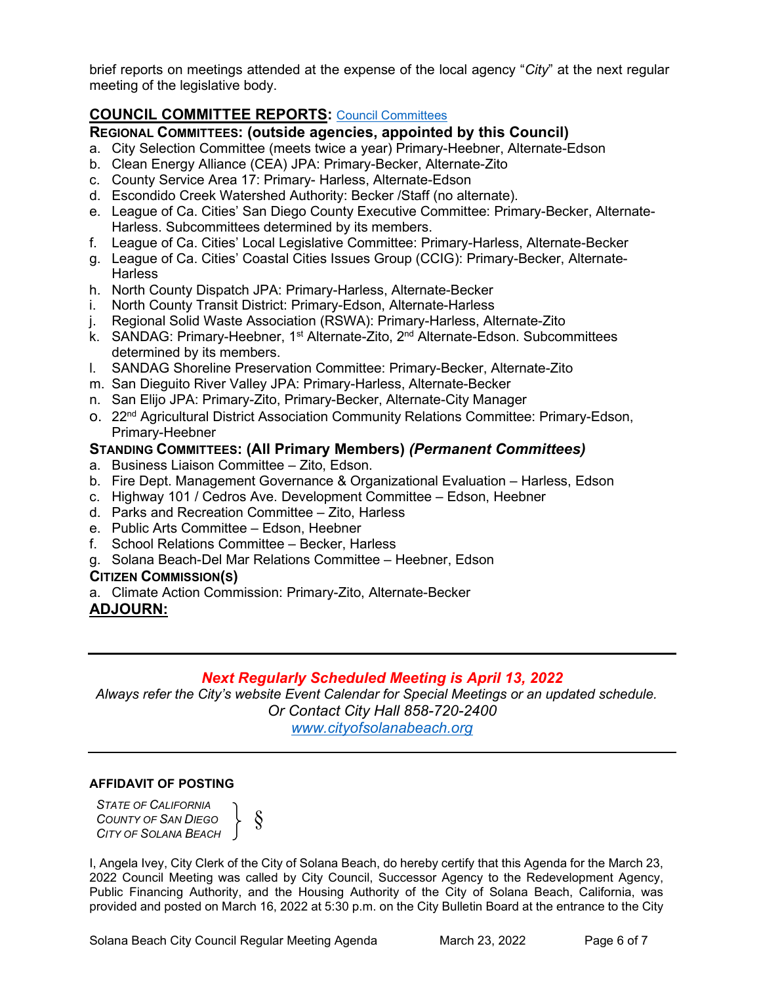brief reports on meetings attended at the expense of the local agency "*City*" at the next regular meeting of the legislative body.

## **COUNCIL COMMITTEE REPORTS:** [Council Committees](https://www.ci.solana-beach.ca.us/index.asp?SEC=584E1192-3850-46EA-B977-088AC3E81E0D&Type=B_BASIC)

#### **REGIONAL COMMITTEES: (outside agencies, appointed by this Council)**

- a. City Selection Committee (meets twice a year) Primary-Heebner, Alternate-Edson
- b. Clean Energy Alliance (CEA) JPA: Primary-Becker, Alternate-Zito
- c. County Service Area 17: Primary- Harless, Alternate-Edson
- d. Escondido Creek Watershed Authority: Becker /Staff (no alternate).
- e. League of Ca. Cities' San Diego County Executive Committee: Primary-Becker, Alternate-Harless. Subcommittees determined by its members.
- f. League of Ca. Cities' Local Legislative Committee: Primary-Harless, Alternate-Becker
- g. League of Ca. Cities' Coastal Cities Issues Group (CCIG): Primary-Becker, Alternate-**Harless**
- h. North County Dispatch JPA: Primary-Harless, Alternate-Becker
- i. North County Transit District: Primary-Edson, Alternate-Harless
- j. Regional Solid Waste Association (RSWA): Primary-Harless, Alternate-Zito
- k. SANDAG: Primary-Heebner, 1<sup>st</sup> Alternate-Zito, 2<sup>nd</sup> Alternate-Edson. Subcommittees determined by its members.
- l. SANDAG Shoreline Preservation Committee: Primary-Becker, Alternate-Zito
- m. San Dieguito River Valley JPA: Primary-Harless, Alternate-Becker
- n. San Elijo JPA: Primary-Zito, Primary-Becker, Alternate-City Manager
- o. 22nd Agricultural District Association Community Relations Committee: Primary-Edson, Primary-Heebner

## **STANDING COMMITTEES: (All Primary Members)** *(Permanent Committees)*

- a. Business Liaison Committee Zito, Edson.
- b. Fire Dept. Management Governance & Organizational Evaluation Harless, Edson
- c. Highway 101 / Cedros Ave. Development Committee Edson, Heebner
- d. Parks and Recreation Committee Zito, Harless
- e. Public Arts Committee Edson, Heebner
- f. School Relations Committee Becker, Harless
- g. Solana Beach-Del Mar Relations Committee Heebner, Edson

#### **CITIZEN COMMISSION(S)**

a. Climate Action Commission: Primary-Zito, Alternate-Becker

## **ADJOURN:**

## *Next Regularly Scheduled Meeting is April 13, 2022*

*Always refer the City's website Event Calendar for Special Meetings or an updated schedule. Or Contact City Hall 858-720-2400*

*[www.cityofsolanabeach.org](http://www.cityofsolanabeach.org/)* 

#### **AFFIDAVIT OF POSTING**

*STATE OF CALIFORNIA COUNTY OF SAN DIEGO CITY OF SOLANA BEACH*  $\begin{matrix} \end{matrix}$   $\begin{matrix} \S \end{matrix}$ 

I, Angela Ivey, City Clerk of the City of Solana Beach, do hereby certify that this Agenda for the March 23, 2022 Council Meeting was called by City Council, Successor Agency to the Redevelopment Agency, Public Financing Authority, and the Housing Authority of the City of Solana Beach, California, was provided and posted on March 16, 2022 at 5:30 p.m. on the City Bulletin Board at the entrance to the City